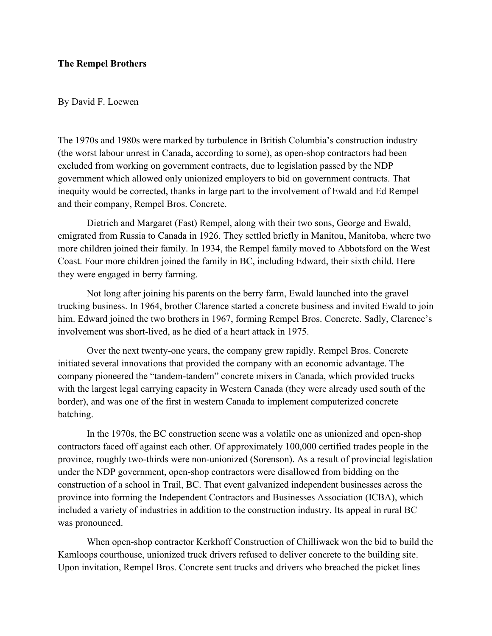## **The Rempel Brothers**

### By David F. Loewen

The 1970s and 1980s were marked by turbulence in British Columbia's construction industry (the worst labour unrest in Canada, according to some), as open-shop contractors had been excluded from working on government contracts, due to legislation passed by the NDP government which allowed only unionized employers to bid on government contracts. That inequity would be corrected, thanks in large part to the involvement of Ewald and Ed Rempel and their company, Rempel Bros. Concrete.

Dietrich and Margaret (Fast) Rempel, along with their two sons, George and Ewald, emigrated from Russia to Canada in 1926. They settled briefly in Manitou, Manitoba, where two more children joined their family. In 1934, the Rempel family moved to Abbotsford on the West Coast. Four more children joined the family in BC, including Edward, their sixth child. Here they were engaged in berry farming.

Not long after joining his parents on the berry farm, Ewald launched into the gravel trucking business. In 1964, brother Clarence started a concrete business and invited Ewald to join him. Edward joined the two brothers in 1967, forming Rempel Bros. Concrete. Sadly, Clarence's involvement was short-lived, as he died of a heart attack in 1975.

Over the next twenty-one years, the company grew rapidly. Rempel Bros. Concrete initiated several innovations that provided the company with an economic advantage. The company pioneered the "tandem-tandem" concrete mixers in Canada, which provided trucks with the largest legal carrying capacity in Western Canada (they were already used south of the border), and was one of the first in western Canada to implement computerized concrete batching.

In the 1970s, the BC construction scene was a volatile one as unionized and open-shop contractors faced off against each other. Of approximately 100,000 certified trades people in the province, roughly two-thirds were non-unionized (Sorenson). As a result of provincial legislation under the NDP government, open-shop contractors were disallowed from bidding on the construction of a school in Trail, BC. That event galvanized independent businesses across the province into forming the Independent Contractors and Businesses Association (ICBA), which included a variety of industries in addition to the construction industry. Its appeal in rural BC was pronounced.

When open-shop contractor Kerkhoff Construction of Chilliwack won the bid to build the Kamloops courthouse, unionized truck drivers refused to deliver concrete to the building site. Upon invitation, Rempel Bros. Concrete sent trucks and drivers who breached the picket lines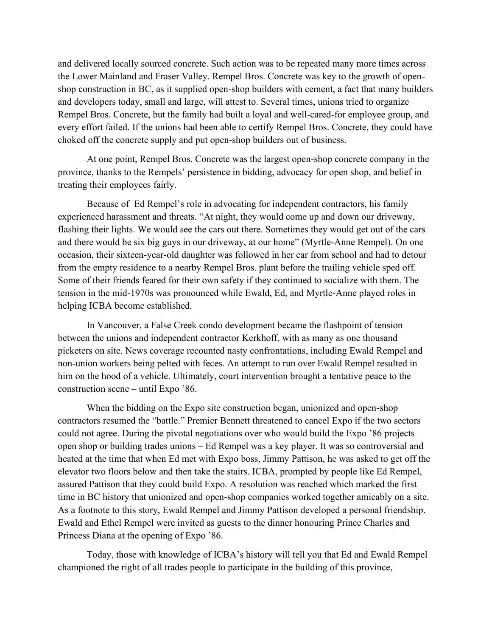and delivered locally sourced concrete. Such action was to be repeated many more times across the Lower Mainland and Fraser Valley. Rempel Bros. Concrete was key to the growth of openshop construction in BC, as it supplied open-shop builders with cement, a fact that many builders and developers today, small and large, will attest to. Several times, unions tried to organize Rempel Bros. Concrete, but the family had built a loyal and well-cared-for employee group, and every effort failed. If the unions had been able to certify Rempel Bros. Concrete, they could have choked off the concrete supply and put open-shop builders out of business.

At one point, Rempel Bros. Concrete was the largest open-shop concrete company in the province, thanks to the Rempels' persistence in bidding, advocacy for open shop, and belief in treating their employees fairly.

Because of Ed Rempel's role in advocating for independent contractors, his family experienced harassment and threats. "At night, they would come up and down our driveway, flashing their lights. We would see the cars out there. Sometimes they would get out of the cars and there would be six big guys in our driveway, at our home" (Myrtle-Anne Rempel). On one occasion, their sixteen-year-old daughter was followed in her car from school and had to detour from the empty residence to a nearby Rempel Bros. plant before the trailing vehicle sped off. Some of their friends feared for their own safety if they continued to socialize with them. The tension in the mid-1970s was pronounced while Ewald, Ed, and Myrtle-Anne played roles in helping ICBA become established.

In Vancouver, a False Creek condo development became the flashpoint of tension between the unions and independent contractor Kerkhoff, with as many as one thousand picketers on site. News coverage recounted nasty confrontations, including Ewald Rempel and non-union workers being pelted with feces. An attempt to run over Ewald Rempel resulted in him on the hood of a vehicle. Ultimately, court intervention brought a tentative peace to the construction scene – until Expo '86.

When the bidding on the Expo site construction began, unionized and open-shop contractors resumed the "battle." Premier Bennett threatened to cancel Expo if the two sectors could not agree. During the pivotal negotiations over who would build the Expo '86 projects – open shop or building trades unions – Ed Rempel was a key player. It was so controversial and heated at the time that when Ed met with Expo boss, Jimmy Pattison, he was asked to get off the elevator two floors below and then take the stairs. ICBA, prompted by people like Ed Rempel, assured Pattison that they could build Expo. A resolution was reached which marked the first time in BC history that unionized and open-shop companies worked together amicably on a site. As a footnote to this story, Ewald Rempel and Jimmy Pattison developed a personal friendship. Ewald and Ethel Rempel were invited as guests to the dinner honouring Prince Charles and Princess Diana at the opening of Expo '86.

Today, those with knowledge of ICBA's history will tell you that Ed and Ewald Rempel championed the right of all trades people to participate in the building of this province,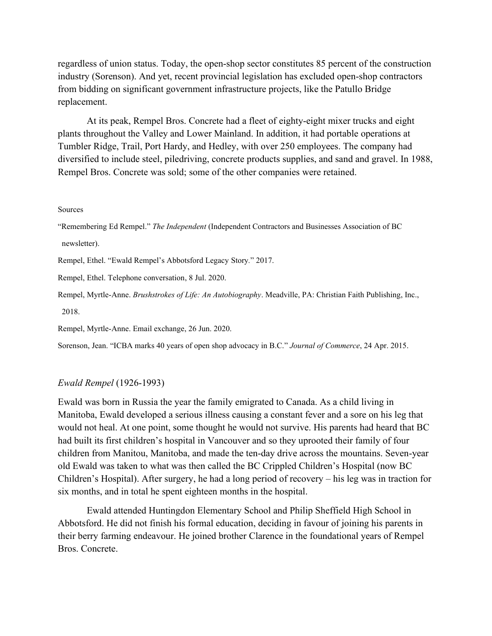regardless of union status. Today, the open-shop sector constitutes 85 percent of the construction industry (Sorenson). And yet, recent provincial legislation has excluded open-shop contractors from bidding on significant government infrastructure projects, like the Patullo Bridge replacement.

At its peak, Rempel Bros. Concrete had a fleet of eighty-eight mixer trucks and eight plants throughout the Valley and Lower Mainland. In addition, it had portable operations at Tumbler Ridge, Trail, Port Hardy, and Hedley, with over 250 employees. The company had diversified to include steel, piledriving, concrete products supplies, and sand and gravel. In 1988, Rempel Bros. Concrete was sold; some of the other companies were retained.

#### Sources

"Remembering Ed Rempel." *The Independent* (Independent Contractors and Businesses Association of BC newsletter).

Rempel, Ethel. "Ewald Rempel's Abbotsford Legacy Story*.*" 2017.

Rempel, Ethel. Telephone conversation, 8 Jul. 2020.

Rempel, Myrtle-Anne. *Brushstrokes of Life: An Autobiography*. Meadville, PA: Christian Faith Publishing, Inc., 2018.

Rempel, Myrtle-Anne. Email exchange, 26 Jun. 2020.

Sorenson, Jean. "ICBA marks 40 years of open shop advocacy in B.C." *Journal of Commerce*, 24 Apr. 2015.

### *Ewald Rempel* (1926-1993)

Ewald was born in Russia the year the family emigrated to Canada. As a child living in Manitoba, Ewald developed a serious illness causing a constant fever and a sore on his leg that would not heal. At one point, some thought he would not survive. His parents had heard that BC had built its first children's hospital in Vancouver and so they uprooted their family of four children from Manitou, Manitoba, and made the ten-day drive across the mountains. Seven-year old Ewald was taken to what was then called the BC Crippled Children's Hospital (now BC Children's Hospital). After surgery, he had a long period of recovery – his leg was in traction for six months, and in total he spent eighteen months in the hospital.

Ewald attended Huntingdon Elementary School and Philip Sheffield High School in Abbotsford. He did not finish his formal education, deciding in favour of joining his parents in their berry farming endeavour. He joined brother Clarence in the foundational years of Rempel Bros. Concrete.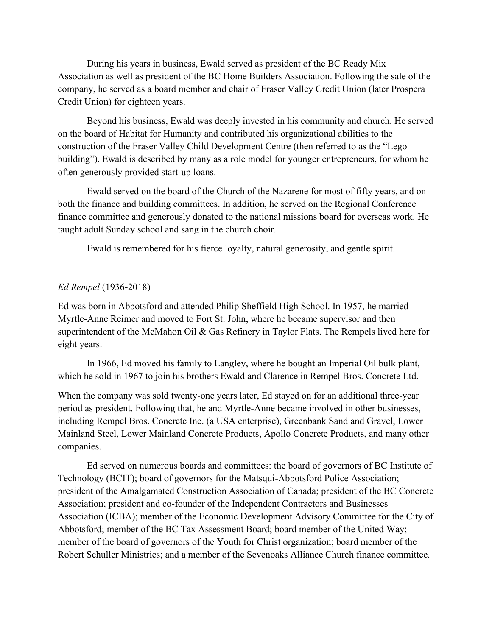During his years in business, Ewald served as president of the BC Ready Mix Association as well as president of the BC Home Builders Association. Following the sale of the company, he served as a board member and chair of Fraser Valley Credit Union (later Prospera Credit Union) for eighteen years.

Beyond his business, Ewald was deeply invested in his community and church. He served on the board of Habitat for Humanity and contributed his organizational abilities to the construction of the Fraser Valley Child Development Centre (then referred to as the "Lego building"). Ewald is described by many as a role model for younger entrepreneurs, for whom he often generously provided start-up loans.

Ewald served on the board of the Church of the Nazarene for most of fifty years, and on both the finance and building committees. In addition, he served on the Regional Conference finance committee and generously donated to the national missions board for overseas work. He taught adult Sunday school and sang in the church choir.

Ewald is remembered for his fierce loyalty, natural generosity, and gentle spirit.

# *Ed Rempel* (1936-2018)

Ed was born in Abbotsford and attended Philip Sheffield High School. In 1957, he married Myrtle-Anne Reimer and moved to Fort St. John, where he became supervisor and then superintendent of the McMahon Oil & Gas Refinery in Taylor Flats. The Rempels lived here for eight years.

In 1966, Ed moved his family to Langley, where he bought an Imperial Oil bulk plant, which he sold in 1967 to join his brothers Ewald and Clarence in Rempel Bros. Concrete Ltd.

When the company was sold twenty-one years later, Ed stayed on for an additional three-year period as president. Following that, he and Myrtle-Anne became involved in other businesses, including Rempel Bros. Concrete Inc. (a USA enterprise), Greenbank Sand and Gravel, Lower Mainland Steel, Lower Mainland Concrete Products, Apollo Concrete Products, and many other companies.

Ed served on numerous boards and committees: the board of governors of BC Institute of Technology (BCIT); board of governors for the Matsqui-Abbotsford Police Association; president of the Amalgamated Construction Association of Canada; president of the BC Concrete Association; president and co-founder of the Independent Contractors and Businesses Association (ICBA); member of the Economic Development Advisory Committee for the City of Abbotsford; member of the BC Tax Assessment Board; board member of the United Way; member of the board of governors of the Youth for Christ organization; board member of the Robert Schuller Ministries; and a member of the Sevenoaks Alliance Church finance committee.